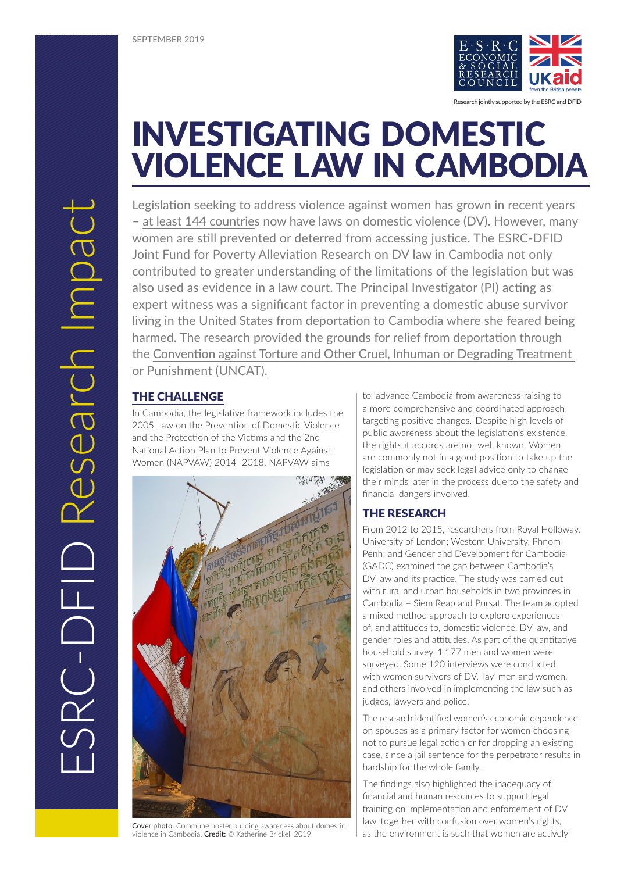

Research jointly supported by the ESRC and DFID

# INVESTIGATING DOMESTIC VIOLENCE LAW IN CAMBODIA

Legislation seeking to address violence against women has grown in recent years – [at least 144 countries](https://www.unwomen.org/en/what-we-do/ending-violence-against-women/facts-and-figures) now have laws on domestic violence (DV). However, many women are still prevented or deterred from accessing justice. The ESRC-DFID Joint Fund for Poverty Alleviation Research on [DV law in Cambodia](https://www.theimpactinitiative.net/project/lay-and-institutional-knowledges-domestic-violence-law-towards-active-citizenship-rural-and) not only contributed to greater understanding of the limitations of the legislation but was also used as evidence in a law court. The Principal Investigator (PI) acting as expert witness was a significant factor in preventing a domestic abuse survivor living in the United States from deportation to Cambodia where she feared being harmed. The research provided the grounds for relief from deportation through the [Convention against Torture and Other Cruel, Inhuman or Degrading Treatment](https://www.ohchr.org/EN/ProfessionalInterest/Pages/CAT.aspx)  [or Punishment \(UNCAT\).](https://www.ohchr.org/EN/ProfessionalInterest/Pages/CAT.aspx)

## THE CHALLENGE

In Cambodia, the legislative framework includes the 2005 Law on the Prevention of Domestic Violence and the Protection of the Victims and the 2nd National Action Plan to Prevent Violence Against Women (NAPVAW) 2014–2018. NAPVAW aims



Cover photo: Commune poster building awareness about domestic violence in Cambodia. Credit: © Katherine Brickell 2019

to 'advance Cambodia from awareness-raising to a more comprehensive and coordinated approach targeting positive changes.' Despite high levels of public awareness about the legislation's existence, the rights it accords are not well known. Women are commonly not in a good position to take up the legislation or may seek legal advice only to change their minds later in the process due to the safety and financial dangers involved.

# THE RESEARCH

From 2012 to 2015, researchers from Royal Holloway, University of London; Western University, Phnom Penh; and Gender and Development for Cambodia (GADC) examined the gap between Cambodia's DV law and its practice. The study was carried out with rural and urban households in two provinces in Cambodia – Siem Reap and Pursat. The team adopted a mixed method approach to explore experiences of, and attitudes to, domestic violence, DV law, and gender roles and attitudes. As part of the quantitative household survey, 1,177 men and women were surveyed. Some 120 interviews were conducted with women survivors of DV, 'lay' men and women, and others involved in implementing the law such as judges, lawyers and police.

The research identified women's economic dependence on spouses as a primary factor for women choosing not to pursue legal action or for dropping an existing case, since a jail sentence for the perpetrator results in hardship for the whole family.

The findings also highlighted the inadequacy of financial and human resources to support legal training on implementation and enforcement of DV law, together with confusion over women's rights, as the environment is such that women are actively